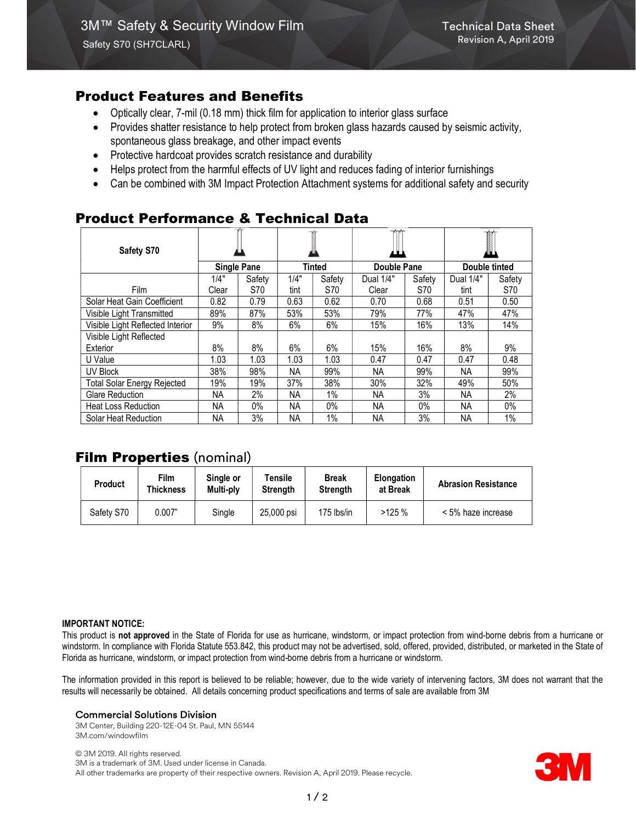# Product Features and Benefits

- Optically clear, 7-mil (0.18 mm) thick film for application to interior glass surface
- Provides shatter resistance to help protect from broken glass hazards caused by seismic activity, spontaneous glass breakage, and other impact events
- Protective hardcoat provides scratch resistance and durability
- Helps protect from the harmful effects of UV light and reduces fading of interior furnishings
- Can be combined with 3M Impact Protection Attachment systems for additional safety and security

# Product Performance & Technical Data

| Safety S70                         | <b>Single Pane</b> |        |               |        |             |        | I<br>♨        |        |
|------------------------------------|--------------------|--------|---------------|--------|-------------|--------|---------------|--------|
|                                    |                    |        | <b>Tinted</b> |        | Double Pane |        | Double tinted |        |
|                                    | 1/4"               | Safety | 1/4"          | Safety | Dual 1/4"   | Safety | Dual 1/4"     | Safety |
| <b>Film</b>                        | Clear              | S70    | tint          | S70    | Clear       | S70    | tint          | S70    |
| Solar Heat Gain Coefficient        | 0.82               | 0.79   | 0.63          | 0.62   | 0.70        | 0.68   | 0.51          | 0.50   |
| Visible Light Transmitted          | 89%                | 87%    | 53%           | 53%    | 79%         | 77%    | 47%           | 47%    |
| Visible Light Reflected Interior   | 9%                 | 8%     | 6%            | 6%     | 15%         | 16%    | 13%           | 14%    |
| Visible Light Reflected            |                    |        |               |        |             |        |               |        |
| Exterior                           | 8%                 | 8%     | 6%            | 6%     | 15%         | 16%    | 8%            | 9%     |
| U Value                            | 1.03               | 1.03   | 1.03          | 1.03   | 0.47        | 0.47   | 0.47          | 0.48   |
| UV Block                           | 38%                | 98%    | <b>NA</b>     | 99%    | NA.         | 99%    | NA.           | 99%    |
| <b>Total Solar Energy Rejected</b> | 19%                | 19%    | 37%           | 38%    | 30%         | 32%    | 49%           | 50%    |
| <b>Glare Reduction</b>             | NA.                | 2%     | <b>NA</b>     | 1%     | NА          | 3%     | <b>NA</b>     | 2%     |
| <b>Heat Loss Reduction</b>         | NA.                | 0%     | NA.           | $0\%$  | NА          | $0\%$  | NA            | $0\%$  |
| Solar Heat Reduction               | <b>NA</b>          | 3%     | ΝA            | 1%     | ΝA          | 3%     | <b>NA</b>     | 1%     |

# **Film Properties (nominal)**

| <b>Product</b> | Film<br>Thickness | Single or<br>Multi-ply | Tensile<br><b>Strength</b> | <b>Break</b><br><b>Strength</b> | <b>Elongation</b><br>at Break | <b>Abrasion Resistance</b> |
|----------------|-------------------|------------------------|----------------------------|---------------------------------|-------------------------------|----------------------------|
| Safety S70     | 0.007"            | Single                 | 25,000 psi                 | 175 lbs/in                      | >125%                         | < 5% haze increase         |

#### IMPORTANT NOTICE:

This product is not approved in the State of Florida for use as hurricane, windstorm, or impact protection from wind-borne debris from a hurricane or windstorm. In compliance with Florida Statute 553.842, this product may not be advertised, sold, offered, provided, distributed, or marketed in the State of Florida as hurricane, windstorm, or impact protection from wind-borne debris from a hurricane or windstorm.

The information provided in this report is believed to be reliable; however, due to the wide variety of intervening factors, 3M does not warrant that the results will necessarily be obtained. All details concerning product specifications and terms of sale are available from 3M

#### Commercial Solutions Division

3M Center, Building 220-12E-04 St. Paul, MN 55144 3M.com/windowfilm

© 3M 2019. All rights reserved. 3M is a trademark of 3M. Used under license in Canada. All other trademarks are property of their respective owners. Revision A, April 2019. Please recycle.